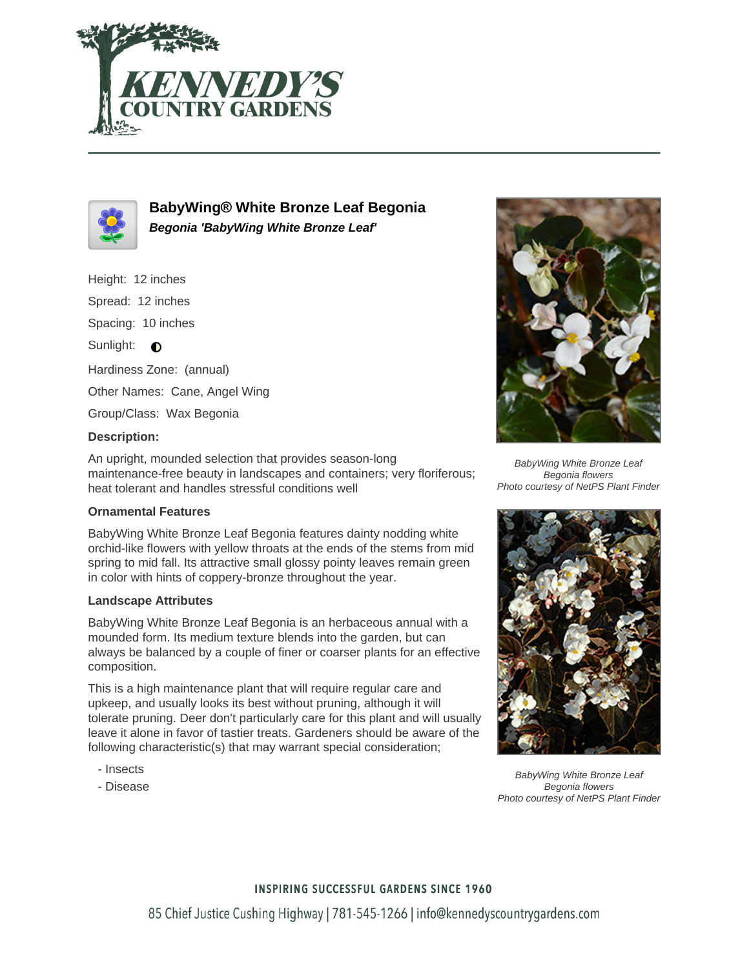



**BabyWing® White Bronze Leaf Begonia Begonia 'BabyWing White Bronze Leaf'**

Height: 12 inches

Spread: 12 inches

Spacing: 10 inches

Sunlight:  $\bullet$ 

Hardiness Zone: (annual)

Other Names: Cane, Angel Wing

Group/Class: Wax Begonia

## **Description:**

An upright, mounded selection that provides season-long maintenance-free beauty in landscapes and containers; very floriferous; heat tolerant and handles stressful conditions well

## **Ornamental Features**

BabyWing White Bronze Leaf Begonia features dainty nodding white orchid-like flowers with yellow throats at the ends of the stems from mid spring to mid fall. Its attractive small glossy pointy leaves remain green in color with hints of coppery-bronze throughout the year.

## **Landscape Attributes**

BabyWing White Bronze Leaf Begonia is an herbaceous annual with a mounded form. Its medium texture blends into the garden, but can always be balanced by a couple of finer or coarser plants for an effective composition.

This is a high maintenance plant that will require regular care and upkeep, and usually looks its best without pruning, although it will tolerate pruning. Deer don't particularly care for this plant and will usually leave it alone in favor of tastier treats. Gardeners should be aware of the following characteristic(s) that may warrant special consideration;

- Insects
- Disease



BabyWing White Bronze Leaf Begonia flowers Photo courtesy of NetPS Plant Finder



BabyWing White Bronze Leaf Begonia flowers Photo courtesy of NetPS Plant Finder